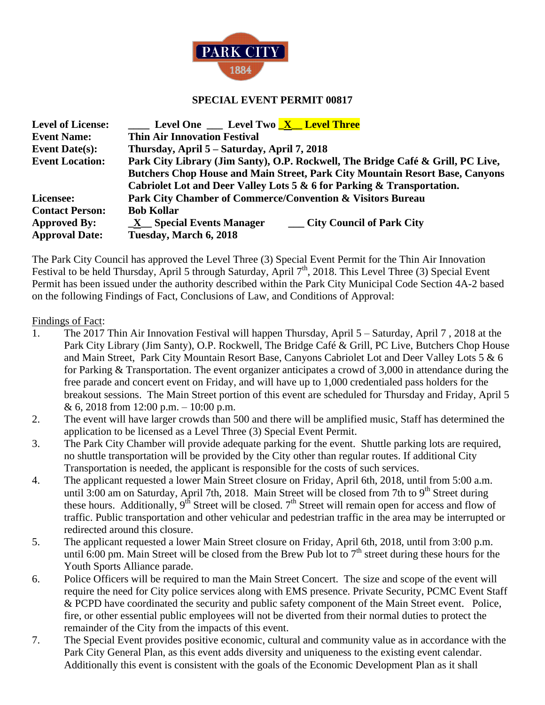

## **SPECIAL EVENT PERMIT 00817**

| <b>Level of License:</b> | <b>_____</b> Level One ____ Level Two <u>_X__</u> Level Three                   |
|--------------------------|---------------------------------------------------------------------------------|
| <b>Event Name:</b>       | <b>Thin Air Innovation Festival</b>                                             |
| Event Date( $s$ ):       | Thursday, April 5 – Saturday, April 7, 2018                                     |
| <b>Event Location:</b>   | Park City Library (Jim Santy), O.P. Rockwell, The Bridge Café & Grill, PC Live, |
|                          | Butchers Chop House and Main Street, Park City Mountain Resort Base, Canyons    |
|                          | Cabriolet Lot and Deer Valley Lots 5 & 6 for Parking & Transportation.          |
| Licensee:                | Park City Chamber of Commerce/Convention & Visitors Bureau                      |
| <b>Contact Person:</b>   | <b>Bob Kollar</b>                                                               |
| <b>Approved By:</b>      | X Special Events Manager<br><b>City Council of Park City</b>                    |
| <b>Approval Date:</b>    | Tuesday, March 6, 2018                                                          |

The Park City Council has approved the Level Three (3) Special Event Permit for the Thin Air Innovation Festival to be held Thursday, April 5 through Saturday, April  $7<sup>th</sup>$ , 2018. This Level Three (3) Special Event Permit has been issued under the authority described within the Park City Municipal Code Section 4A-2 based on the following Findings of Fact, Conclusions of Law, and Conditions of Approval:

Findings of Fact:

- 1. The 2017 Thin Air Innovation Festival will happen Thursday, April 5 Saturday, April 7 , 2018 at the Park City Library (Jim Santy), O.P. Rockwell, The Bridge Café & Grill, PC Live, Butchers Chop House and Main Street, Park City Mountain Resort Base, Canyons Cabriolet Lot and Deer Valley Lots 5 & 6 for Parking & Transportation. The event organizer anticipates a crowd of 3,000 in attendance during the free parade and concert event on Friday, and will have up to 1,000 credentialed pass holders for the breakout sessions. The Main Street portion of this event are scheduled for Thursday and Friday, April 5 & 6, 2018 from 12:00 p.m.  $-10:00$  p.m.
- 2. The event will have larger crowds than 500 and there will be amplified music, Staff has determined the application to be licensed as a Level Three (3) Special Event Permit.
- 3. The Park City Chamber will provide adequate parking for the event. Shuttle parking lots are required, no shuttle transportation will be provided by the City other than regular routes. If additional City Transportation is needed, the applicant is responsible for the costs of such services.
- 4. The applicant requested a lower Main Street closure on Friday, April 6th, 2018, until from 5:00 a.m. until 3:00 am on Saturday, April 7th, 2018. Main Street will be closed from 7th to 9<sup>th</sup> Street during these hours. Additionally,  $9^{th}$  Street will be closed.  $7^{th}$  Street will remain open for access and flow of traffic. Public transportation and other vehicular and pedestrian traffic in the area may be interrupted or redirected around this closure.
- 5. The applicant requested a lower Main Street closure on Friday, April 6th, 2018, until from 3:00 p.m. until  $6:00$  pm. Main Street will be closed from the Brew Pub lot to  $7<sup>th</sup>$  street during these hours for the Youth Sports Alliance parade.
- 6. Police Officers will be required to man the Main Street Concert. The size and scope of the event will require the need for City police services along with EMS presence. Private Security, PCMC Event Staff & PCPD have coordinated the security and public safety component of the Main Street event. Police, fire, or other essential public employees will not be diverted from their normal duties to protect the remainder of the City from the impacts of this event.
- 7. The Special Event provides positive economic, cultural and community value as in accordance with the Park City General Plan, as this event adds diversity and uniqueness to the existing event calendar. Additionally this event is consistent with the goals of the Economic Development Plan as it shall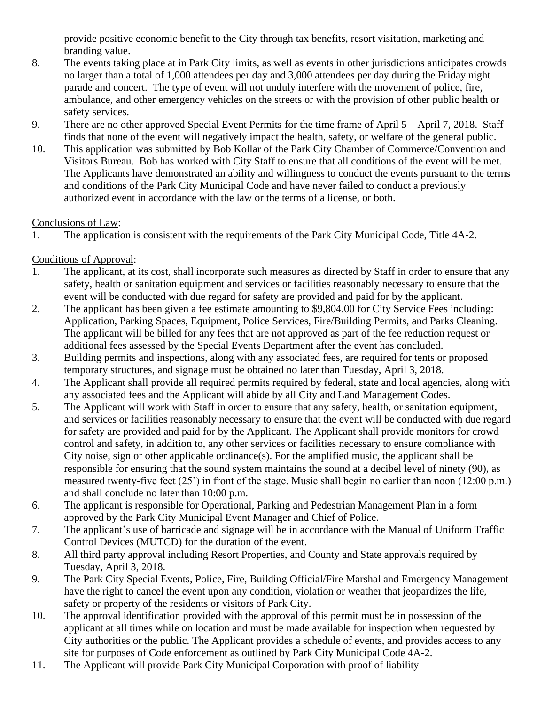provide positive economic benefit to the City through tax benefits, resort visitation, marketing and branding value.

- 8. The events taking place at in Park City limits, as well as events in other jurisdictions anticipates crowds no larger than a total of 1,000 attendees per day and 3,000 attendees per day during the Friday night parade and concert. The type of event will not unduly interfere with the movement of police, fire, ambulance, and other emergency vehicles on the streets or with the provision of other public health or safety services.
- 9. There are no other approved Special Event Permits for the time frame of April 5 April 7, 2018. Staff finds that none of the event will negatively impact the health, safety, or welfare of the general public.
- 10. This application was submitted by Bob Kollar of the Park City Chamber of Commerce/Convention and Visitors Bureau. Bob has worked with City Staff to ensure that all conditions of the event will be met. The Applicants have demonstrated an ability and willingness to conduct the events pursuant to the terms and conditions of the Park City Municipal Code and have never failed to conduct a previously authorized event in accordance with the law or the terms of a license, or both.

## Conclusions of Law:

1. The application is consistent with the requirements of the Park City Municipal Code, Title 4A-2.

## Conditions of Approval:

- 1. The applicant, at its cost, shall incorporate such measures as directed by Staff in order to ensure that any safety, health or sanitation equipment and services or facilities reasonably necessary to ensure that the event will be conducted with due regard for safety are provided and paid for by the applicant.
- 2. The applicant has been given a fee estimate amounting to \$9,804.00 for City Service Fees including: Application, Parking Spaces, Equipment, Police Services, Fire/Building Permits, and Parks Cleaning. The applicant will be billed for any fees that are not approved as part of the fee reduction request or additional fees assessed by the Special Events Department after the event has concluded.
- 3. Building permits and inspections, along with any associated fees, are required for tents or proposed temporary structures, and signage must be obtained no later than Tuesday, April 3, 2018.
- 4. The Applicant shall provide all required permits required by federal, state and local agencies, along with any associated fees and the Applicant will abide by all City and Land Management Codes.
- 5. The Applicant will work with Staff in order to ensure that any safety, health, or sanitation equipment, and services or facilities reasonably necessary to ensure that the event will be conducted with due regard for safety are provided and paid for by the Applicant. The Applicant shall provide monitors for crowd control and safety, in addition to, any other services or facilities necessary to ensure compliance with City noise, sign or other applicable ordinance(s). For the amplified music, the applicant shall be responsible for ensuring that the sound system maintains the sound at a decibel level of ninety (90), as measured twenty-five feet (25') in front of the stage. Music shall begin no earlier than noon (12:00 p.m.) and shall conclude no later than 10:00 p.m.
- 6. The applicant is responsible for Operational, Parking and Pedestrian Management Plan in a form approved by the Park City Municipal Event Manager and Chief of Police.
- 7. The applicant's use of barricade and signage will be in accordance with the Manual of Uniform Traffic Control Devices (MUTCD) for the duration of the event.
- 8. All third party approval including Resort Properties, and County and State approvals required by Tuesday, April 3, 2018.
- 9. The Park City Special Events, Police, Fire, Building Official/Fire Marshal and Emergency Management have the right to cancel the event upon any condition, violation or weather that jeopardizes the life, safety or property of the residents or visitors of Park City.
- 10. The approval identification provided with the approval of this permit must be in possession of the applicant at all times while on location and must be made available for inspection when requested by City authorities or the public. The Applicant provides a schedule of events, and provides access to any site for purposes of Code enforcement as outlined by Park City Municipal Code 4A-2.
- 11. The Applicant will provide Park City Municipal Corporation with proof of liability